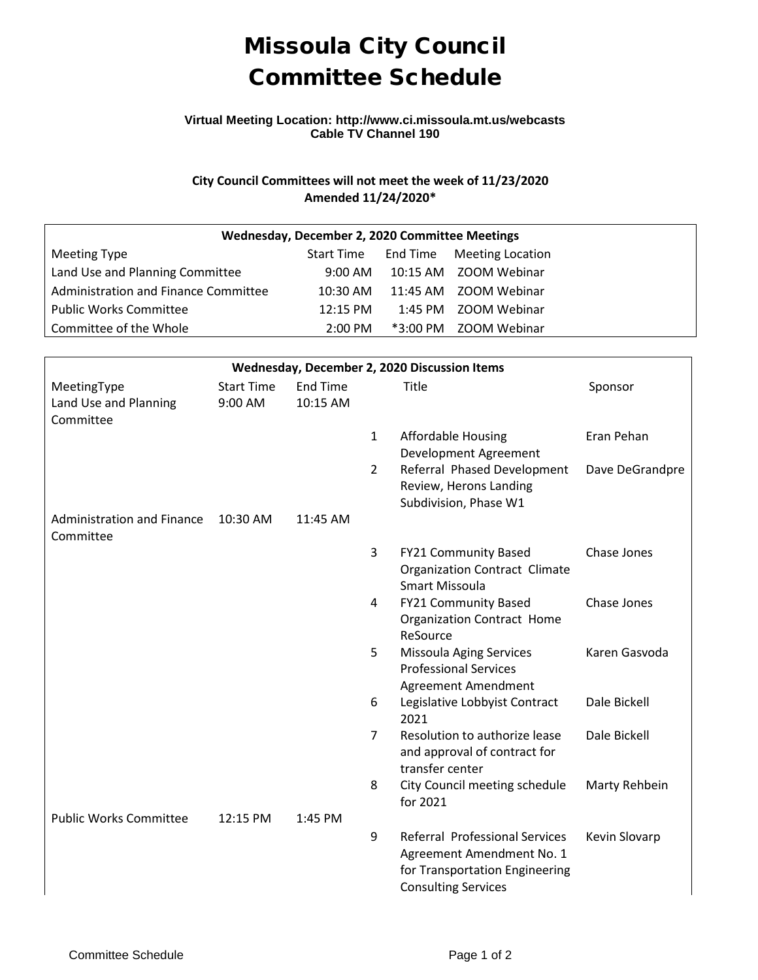# Missoula City Council Committee Schedule

### **Virtual Meeting Location: http://www.ci.missoula.mt.us/webcasts Cable TV Channel 190**

## **City Council Committees will not meet the week of 11/23/2020 Amended 11/24/2020\***

| Wednesday, December 2, 2020 Committee Meetings |            |  |                                      |  |  |  |  |
|------------------------------------------------|------------|--|--------------------------------------|--|--|--|--|
| Meeting Type                                   |            |  | Start Time End Time Meeting Location |  |  |  |  |
| Land Use and Planning Committee                | 9:00 AM    |  | 10:15 AM ZOOM Webinar                |  |  |  |  |
| Administration and Finance Committee           | 10:30 AM   |  | 11:45 AM ZOOM Webinar                |  |  |  |  |
| <b>Public Works Committee</b>                  | $12:15$ PM |  | 1:45 PM ZOOM Webinar                 |  |  |  |  |
| Committee of the Whole                         | $2:00$ PM  |  | *3:00 PM ZOOM Webinar                |  |  |  |  |

| Wednesday, December 2, 2020 Discussion Items      |                              |                      |                |                                                                                                                             |                 |  |  |  |  |  |
|---------------------------------------------------|------------------------------|----------------------|----------------|-----------------------------------------------------------------------------------------------------------------------------|-----------------|--|--|--|--|--|
| MeetingType<br>Land Use and Planning<br>Committee | <b>Start Time</b><br>9:00 AM | End Time<br>10:15 AM |                | Title                                                                                                                       | Sponsor         |  |  |  |  |  |
|                                                   |                              |                      | $\mathbf{1}$   | <b>Affordable Housing</b><br>Development Agreement                                                                          | Eran Pehan      |  |  |  |  |  |
|                                                   |                              |                      | $\overline{2}$ | Referral Phased Development<br>Review, Herons Landing<br>Subdivision, Phase W1                                              | Dave DeGrandpre |  |  |  |  |  |
| <b>Administration and Finance</b><br>Committee    | 10:30 AM                     | 11:45 AM             |                |                                                                                                                             |                 |  |  |  |  |  |
|                                                   |                              |                      | 3              | FY21 Community Based<br>Organization Contract Climate<br><b>Smart Missoula</b>                                              | Chase Jones     |  |  |  |  |  |
|                                                   |                              |                      | 4              | FY21 Community Based<br><b>Organization Contract Home</b><br>ReSource                                                       | Chase Jones     |  |  |  |  |  |
|                                                   |                              |                      | 5              | Missoula Aging Services<br><b>Professional Services</b><br>Agreement Amendment                                              | Karen Gasvoda   |  |  |  |  |  |
|                                                   |                              |                      | 6              | Legislative Lobbyist Contract<br>2021                                                                                       | Dale Bickell    |  |  |  |  |  |
|                                                   |                              |                      | $\overline{7}$ | Resolution to authorize lease<br>and approval of contract for<br>transfer center                                            | Dale Bickell    |  |  |  |  |  |
|                                                   |                              |                      | 8              | City Council meeting schedule<br>for 2021                                                                                   | Marty Rehbein   |  |  |  |  |  |
| <b>Public Works Committee</b>                     | 12:15 PM                     | 1:45 PM              |                |                                                                                                                             |                 |  |  |  |  |  |
|                                                   |                              |                      | 9              | Referral Professional Services<br>Agreement Amendment No. 1<br>for Transportation Engineering<br><b>Consulting Services</b> | Kevin Slovarp   |  |  |  |  |  |